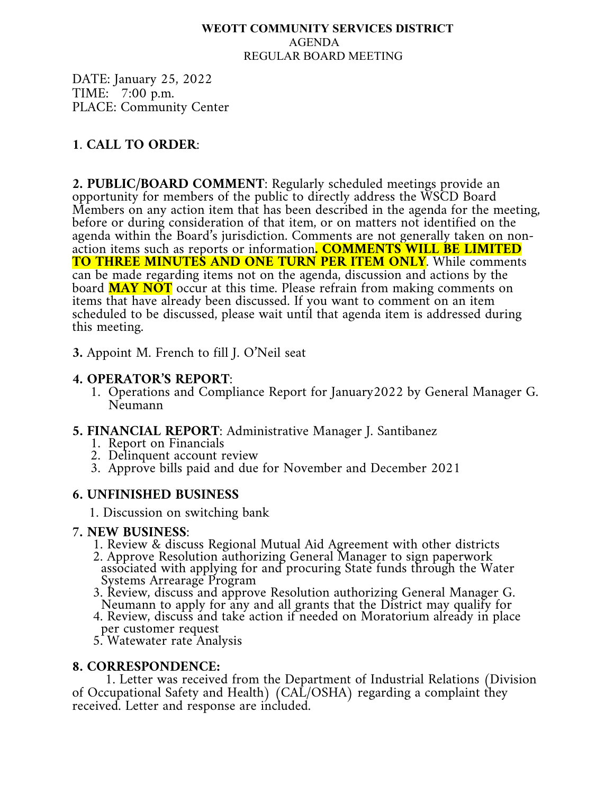### **WEOTT COMMUNITY SERVICES DISTRICT** AGENDA REGULAR BOARD MEETING

DATE: January 25, 2022 TIME: 7:00 p.m. PLACE: Community Center

# **1**. **CALL TO ORDER**:

**2. PUBLIC/BOARD COMMENT**: Regularly scheduled meetings provide an opportunity for members of the public to directly address the WSCD Board Members on any action item that has been described in the agenda for the meeting, before or during consideration of that item, or on matters not identified on the agenda within the Board's jurisdiction. Comments are not generally taken on nonaction items such as reports or information. COMMENTS WILL BE LIMITED **TO THREE MINUTES AND ONE TURN PER ITEM ONLY**. While comments can be made regarding items not on the agenda, discussion and actions by the board **MAY NOT** occur at this time. Please refrain from making comments on items that have already been discussed. If you want to comment on an item scheduled to be discussed, please wait until that agenda item is addressed during this meeting.

**3.** Appoint M. French to fill J. O'Neil seat

## **4. OPERATOR'S REPORT**:

1. Operations and Compliance Report for January2022 by General Manager G. Neumann

### **5. FINANCIAL REPORT**: Administrative Manager J. Santibanez

- 1. Report on Financials
- 2. Delinquent account review
- 3. Approve bills paid and due for November and December 2021

## **6. UNFINISHED BUSINESS**

1. Discussion on switching bank

- 
- **7. NEW BUSINESS**: 1. Review & discuss Regional Mutual Aid Agreement with other districts 2. Approve Resolution authorizing General Manager to sign paperwork associated with applying for and procuring State funds through the Water
	- Systems Arrearage Program<br>3. Review, discuss and approve Resolution authorizing General Manager G.<br>Neumann to apply for any and all grants that the District may qualify for<br>4. Review, discuss and take action if needed on M
	-
	- 5. Watewater rate Analysis

**8. CORRESPONDENCE:** 1. Letter was received from the Department of Industrial Relations (Division of Occupational Safety and Health) (CAL/OSHA) regarding a complaint they received. Letter and response are included.